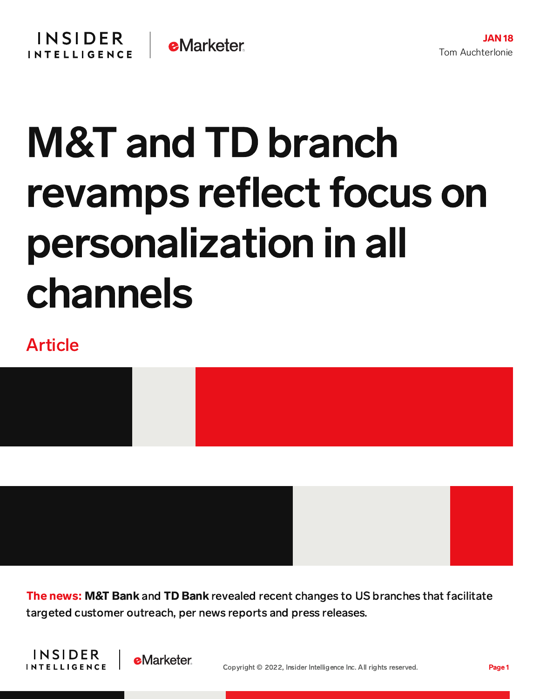## M&T and TD branch revamps reflect focus on personalization in all channels

## Article



The news: M&T Bank and TD Bank revealed recent changes to US branches that facilitate targeted customer outreach, per news reports and press releases.



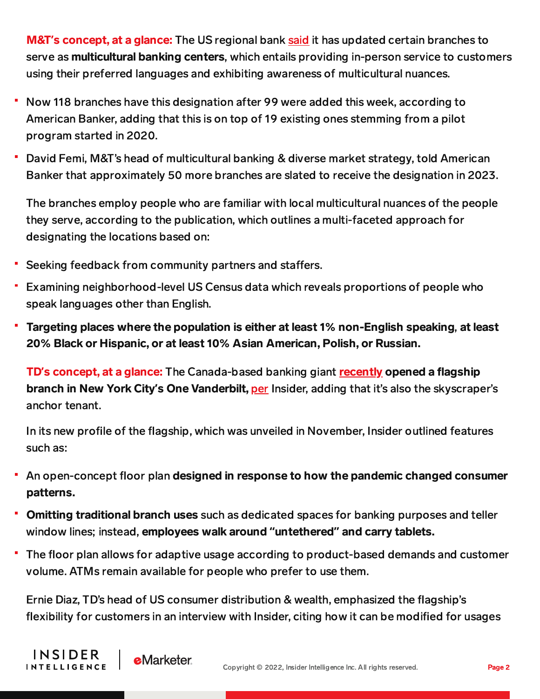M&T**'**s concept, at a glance: The US regional bank [said](https://ir.mtb.com/news-releases/news-release-details/mt-bank-expands-financial-access-removes-language-barriers-100) it has updated certain branches to serve as **multicultural banking centers**, which entails providing in-person service to customers using their preferred languages and exhibiting awareness of multicultural nuances.

- Now 118 branches have this designation after 99 were added this week, according to American Banker, adding that this is on top of 19 existing ones stemming from a pilot program started in 2020.
- David Femi, M&T's head of multicultural banking & diverse market strategy, told American Banker that approximately 50 more branches are slated to receive the designation in 2023.

The branches employ people who are familiar with local multicultural nuances of the people they serve, according to the publication, which outlines a multi-faceted approach for designating the locations based on:

Seeking feedback from community partners and staffers.

**e**Marketer

**INSIDER** 

**INTELLIGENCE** 

- Examining neighborhood-level US Census data which reveals proportions of people who speak languages other than English.
- Targeting places where the population is either at least 1% non-English speaking, at least 20% Black or Hispanic, or at least 10% Asian American, Polish, or Russian.

**TD's concept, at a glance:** The Canada-based banking giant **[recently](https://stories.td.com/us/en/article/one-vanderbilt-unveiled-home-to-tds-new-nyc-flagship-store-and-symbol-of-commitment) opened a flagship** branch in New York City**'**s One Vanderbilt, [per](https://www.businessinsider.com/td-bank-flagship-branch-nyc-photos-one-vanderbuilt-pandemic-banking-2022-1) Insider, adding that it's also the skyscraper's anchor tenant.

In its new profile of the flagship, which was unveiled in November, Insider outlined features such as:

- An open-concept floor plan designed in response to how the pandemic changed consumer patterns.
- **Comitting traditional branch uses** such as dedicated spaces for banking purposes and teller window lines; instead, employees walk around **"**untethered**"** and carry tablets.
- The floor plan allows for adaptive usage according to product-based demands and customer volume. ATMs remain available for people who prefer to use them.

Ernie Diaz, TD's head of US consumer distribution & wealth, emphasized the flagship's flexibility for customers in an interview with Insider, citing how it can be modified for usages